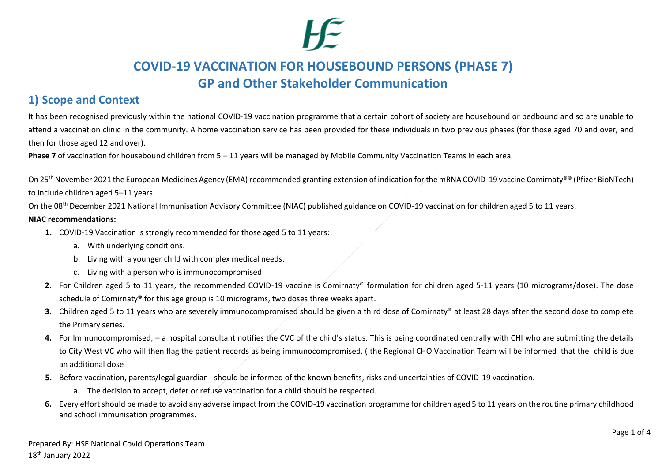## **1) Scope and Context**

It has been recognised previously within the national COVID-19 vaccination programme that a certain cohort of society are housebound or bedbound and so are unable to attend a vaccination clinic in the community. A home vaccination service has been provided for these individuals in two previous phases (for those aged 70 and over, and then for those aged 12 and over).

**Phase 7** of vaccination for housebound children from 5 – 11 years will be managed by Mobile Community Vaccination Teams in each area.

On 25<sup>th</sup> November 2021 the European Medicines Agency (EMA) recommended granting extension of indication for the mRNA COVID-19 vaccine Comirnaty®® (Pfizer BioNTech) to include children aged 5–11 years.

On the 08<sup>th</sup> December 2021 National Immunisation Advisory Committee (NIAC) published guidance on COVID-19 vaccination for children aged 5 to 11 years.

#### **NIAC recommendations:**

- **1.** COVID-19 Vaccination is strongly recommended for those aged 5 to 11 years:
	- a. With underlying conditions.
	- b. Living with a younger child with complex medical needs.
	- c. Living with a person who is immunocompromised.
- **2.** For Children aged 5 to 11 years, the recommended COVID-19 vaccine is Comirnaty® formulation for children aged 5-11 years (10 micrograms/dose). The dose schedule of Comirnaty® for this age group is 10 micrograms, two doses three weeks apart.
- **3.** Children aged 5 to 11 years who are severely immunocompromised should be given a third dose of Comirnaty® at least 28 days after the second dose to complete the Primary series.
- **4.** For Immunocompromised, a hospital consultant notifies the CVC of the child's status. This is being coordinated centrally with CHI who are submitting the details to City West VC who will then flag the patient records as being immunocompromised. ( the Regional CHO Vaccination Team will be informed that the child is due an additional dose
- **5.** Before vaccination, parents/legal guardian should be informed of the known benefits, risks and uncertainties of COVID-19 vaccination.
	- a. The decision to accept, defer or refuse vaccination for a child should be respected.
- **6.** Every effort should be made to avoid any adverse impact from the COVID-19 vaccination programme for children aged 5 to 11 years on the routine primary childhood and school immunisation programmes.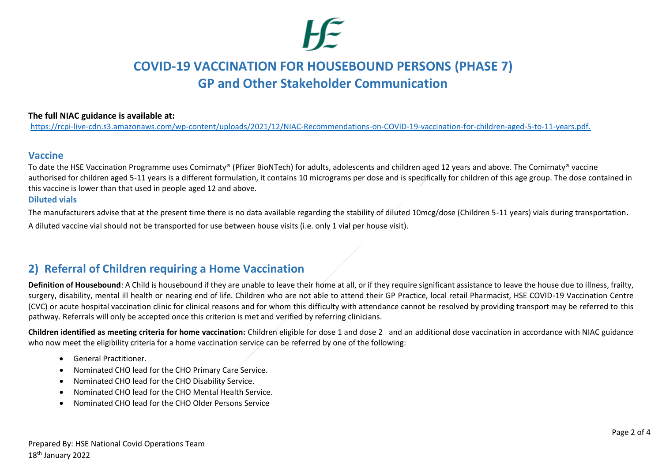#### **The full NIAC guidance is available at:**

[https://rcpi-live-cdn.s3.amazonaws.com/wp-content/uploads/2021/12/NIAC-Recommendations-on-COVID-19-vaccination-for-children-aged-5-to-11-years.pdf.](https://rcpi-live-cdn.s3.amazonaws.com/wp-content/uploads/2021/12/NIAC-Recommendations-on-COVID-19-vaccination-for-children-aged-5-to-11-years.pdf)

### **Vaccine**

To date the HSE Vaccination Programme uses Comirnaty® (Pfizer BioNTech) for adults, adolescents and children aged 12 years and above. The Comirnaty® vaccine authorised for children aged 5-11 years is a different formulation, it contains 10 micrograms per dose and is specifically for children of this age group. The dose contained in this vaccine is lower than that used in people aged 12 and above.

#### **Diluted vials**

The manufacturers advise that at the present time there is no data available regarding the stability of diluted 10mcg/dose (Children 5-11 years) vials during transportation**.**  A diluted vaccine vial should not be transported for use between house visits (i.e. only 1 vial per house visit).

## **2) Referral of Children requiring a Home Vaccination**

**Definition of Housebound**: A Child is housebound if they are unable to leave their home at all, or if they require significant assistance to leave the house due to illness, frailty, surgery, disability, mental ill health or nearing end of life. Children who are not able to attend their GP Practice, local retail Pharmacist, HSE COVID-19 Vaccination Centre (CVC) or acute hospital vaccination clinic for clinical reasons and for whom this difficulty with attendance cannot be resolved by providing transport may be referred to this pathway. Referrals will only be accepted once this criterion is met and verified by referring clinicians.

**Children identified as meeting criteria for home vaccination:** Children eligible for dose 1 and dose 2 and an additional dose vaccination in accordance with NIAC guidance who now meet the eligibility criteria for a home vaccination service can be referred by one of the following:

- General Practitioner.
- Nominated CHO lead for the CHO Primary Care Service.
- Nominated CHO lead for the CHO Disability Service.
- Nominated CHO lead for the CHO Mental Health Service.
- Nominated CHO lead for the CHO Older Persons Service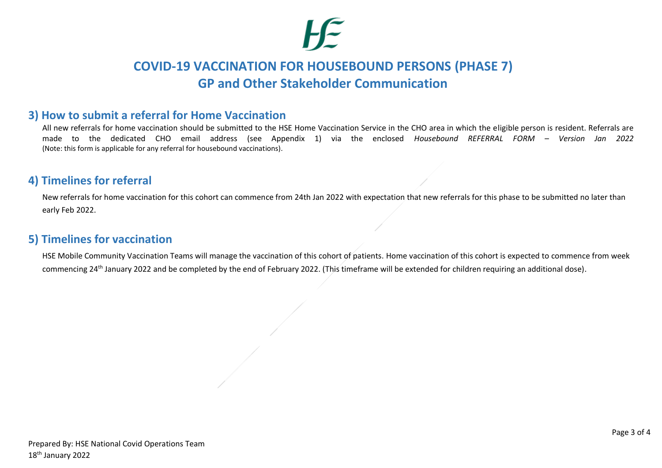## **3) How to submit a referral for Home Vaccination**

All new referrals for home vaccination should be submitted to the HSE Home Vaccination Service in the CHO area in which the eligible person is resident. Referrals are made to the dedicated CHO email address (see Appendix 1) via the enclosed *Housebound REFERRAL FORM – Version Jan 2022*  (Note: this form is applicable for any referral for housebound vaccinations).

## **4) Timelines for referral**

New referrals for home vaccination for this cohort can commence from 24th Jan 2022 with expectation that new referrals for this phase to be submitted no later than early Feb 2022.

## **5) Timelines for vaccination**

HSE Mobile Community Vaccination Teams will manage the vaccination of this cohort of patients. Home vaccination of this cohort is expected to commence from week commencing 24th January 2022 and be completed by the end of February 2022. (This timeframe will be extended for children requiring an additional dose).